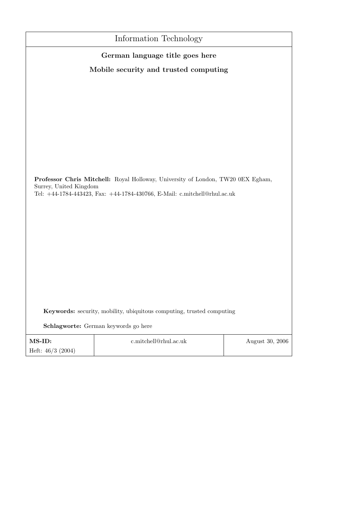| Information Technology                                                                                                                                                                 |                       |                 |
|----------------------------------------------------------------------------------------------------------------------------------------------------------------------------------------|-----------------------|-----------------|
| German language title goes here                                                                                                                                                        |                       |                 |
| Mobile security and trusted computing                                                                                                                                                  |                       |                 |
| Professor Chris Mitchell: Royal Holloway, University of London, TW20 0EX Egham,<br>Surrey, United Kingdom<br>Tel: +44-1784-443423, Fax: +44-1784-430766, E-Mail: c.mitchell@rhul.ac.uk |                       |                 |
| Keywords: security, mobility, ubiquitous computing, trusted computing                                                                                                                  |                       |                 |
| Schlagworte: German keywords go here                                                                                                                                                   |                       |                 |
| MS-ID:<br>Heft: $46/3$ (2004)                                                                                                                                                          | c.mitchell@rhul.ac.uk | August 30, 2006 |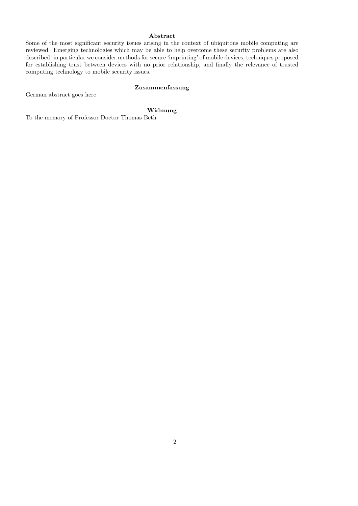#### Abstract

Some of the most significant security issues arising in the context of ubiquitous mobile computing are reviewed. Emerging technologies which may be able to help overcome these security problems are also described; in particular we consider methods for secure 'imprinting' of mobile devices, techniques proposed for establishing trust between devices with no prior relationship, and finally the relevance of trusted computing technology to mobile security issues.

#### Zusammenfassung

German abstract goes here

#### Widmung

To the memory of Professor Doctor Thomas Beth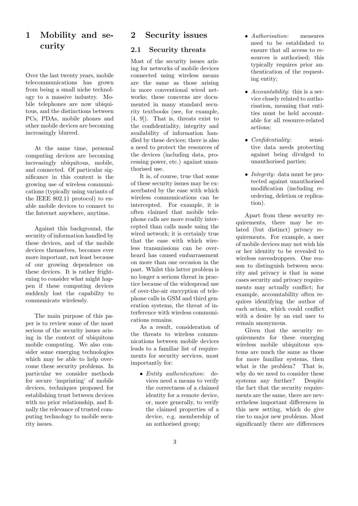# 1 Mobility and security

Over the last twenty years, mobile telecommunications has grown from being a small niche technology to a massive industry. Mobile telephones are now ubiquitous, and the distinctions between PCs, PDAs, mobile phones and other mobile devices are becoming increasingly blurred.

At the same time, personal computing devices are becoming increasingly ubiquitous, mobile, and connected. Of particular significance in this context is the growing use of wireless communications (typically using variants of the IEEE 802.11 protocol) to enable mobile devices to connect to the Internet anywhere, anytime.

Against this background, the security of information handled by these devices, and of the mobile devices themselves, becomes ever more important, not least because of our growing dependence on these devices. It is rather frightening to consider what might happen if these computing devices suddenly lost the capability to communicate wirelessly.

The main purpose of this paper is to review some of the most serious of the security issues arising in the context of ubiquitous mobile computing. We also consider some emerging technologies which may be able to help overcome these security problems. In particular we consider methods for secure 'imprinting' of mobile devices, techniques proposed for establishing trust between devices with no prior relationship, and finally the relevance of trusted computing technology to mobile security issues.

## 2 Security issues

#### 2.1 Security threats

Most of the security issues arising for networks of mobile devices connected using wireless means are the same as those arising in more conventional wired networks; these concerns are documented in many standard security textbooks (see, for example, [4, 9]). That is, threats exist to the confidentiality, integrity and availability of information handled by these devices; there is also a need to protect the resources of the devices (including data, processing power, etc.) against unauthorised use.

It is, of course, true that some of these security issues may be exacerbated by the ease with which wireless communications can be intercepted. For example, it is often claimed that mobile telephone calls are more readily intercepted than calls made using the wired network; it is certainly true that the ease with which wireless transmissions can be overheard has caused embarrassment on more than one occasion in the past. Whilst this latter problem is no longer a serious threat in practice because of the widespread use of over-the-air encryption of telephone calls in GSM and third generation systems, the threat of interference with wireless communications remains.

As a result, consideration of the threats to wireless communications between mobile devices leads to a familiar list of requirements for security services, most importantly for:

> • Entity authentication: devices need a means to verify the correctness of a claimed identity for a remote device, or, more generally, to verify the claimed properties of a device, e.g. membership of an authorised group;

- *Authorisation*: measures need to be established to ensure that all access to resources is authorised; this typically requires prior authentication of the requesting entity;
- Accountability: this is a service closely related to authorisation, meaning that entities must be held accountable for all resource-related actions;
- *Confidentiality*: sensitive data needs protecting against being divulged to unauthorised parties;
- *Integrity*: data must be protected against unauthorised modification (including reordering, deletion or replication).

Apart from these security requirements, there may be related (but distinct) privacy requirements. For example, a user of mobile devices may not wish his or her identity to be revealed to wireless eavesdroppers. One reason to distinguish between security and privacy is that in some cases security and privacy requirements may actually conflict; for example, accountability often requires identifying the author of each action, which could conflict with a desire by an end user to remain anonymous.

Given that the security requirements for these emerging wireless mobile ubiquitous systems are much the same as those for more familiar systems, then what is the problem? That is, why do we need to consider these systems any further? Despite the fact that the security requirements are the same, there are nevertheless important differences in this new setting, which do give rise to major new problems. Most significantly there are differences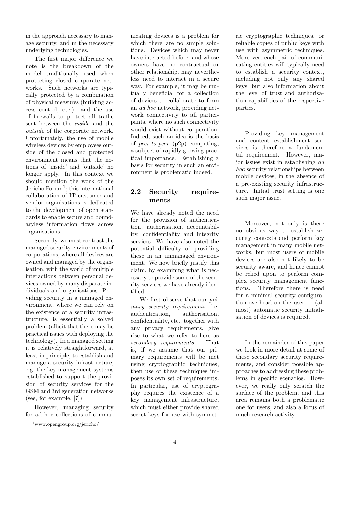in the approach necessary to manage security, and in the necessary underlying technologies.

The first major difference we note is the breakdown of the model traditionally used when protecting closed corporate networks. Such networks are typically protected by a combination of physical measures (building access control, etc.) and the use of firewalls to protect all traffic sent between the inside and the outside of the corporate network. Unfortunately, the use of mobile wireless devices by employees outside of the closed and protected environment means that the notions of 'inside' and 'outside' no longer apply. In this context we should mention the work of the Jericho  $\text{Formula}^1$ ; this international collaboration of IT customer and vendor organisations is dedicated to the development of open standards to enable secure and boundaryless information flows across organisations.

Secondly, we must contrast the managed security environments of corporations, where all devices are owned and managed by the organisation, with the world of multiple interactions between personal devices owned by many disparate individuals and organisations. Providing security in a managed environment, where we can rely on the existence of a security infrastructure, is essentially a solved problem (albeit that there may be practical issues with deploying the technology). In a managed setting it is relatively straightforward, at least in principle, to establish and manage a security infrastructure, e.g. the key management systems established to support the provision of security services for the GSM and 3rd generation networks (see, for example, [7]).

However, managing security for ad hoc collections of communicating devices is a problem for which there are no simple solutions. Devices which may never have interacted before, and whose owners have no contractual or other relationship, may nevertheless need to interact in a secure way. For example, it may be mutually beneficial for a collection of devices to collaborate to form an ad hoc network, providing network connectivity to all participants, where no such connectivity would exist without cooperation. Indeed, such an idea is the basis of peer-to-peer (p2p) computing, a subject of rapidly growing practical importance. Establishing a basis for security in such an environment is problematic indeed.

## 2.2 Security requirements

We have already noted the need for the provision of authentication, authorisation, accountability, confidentiality and integrity services. We have also noted the potential difficulty of providing these in an unmanaged environment. We now briefly justify this claim, by examining what is necessary to provide some of the security services we have already identified.

We first observe that our *pri*mary security requirements, i.e. authentication, authorisation, confidentiality, etc., together with any privacy requirements, give rise to what we refer to here as secondary requirements. That is, if we assume that our primary requirements will be met using cryptographic techniques, then use of these techniques imposes its own set of requirements. In particular, use of cryptography requires the existence of a key management infrastructure, which must either provide shared secret keys for use with symmetric cryptographic techniques, or reliable copies of public keys with use with asymmetric techniques. Moreover, each pair of communicating entities will typically need to establish a security context, including not only any shared keys, but also information about the level of trust and authorisation capabilities of the respective parties.

Providing key management and content establishment services is therefore a fundamental requirement. However, major issues exist in establishing ad hoc security relationships between mobile devices, in the absence of a pre-existing security infrastructure. Initial trust setting is one such major issue.

Moreover, not only is there no obvious way to establish security contexts and perform key management in many mobile networks, but most users of mobile devices are also not likely to be security aware, and hence cannot be relied upon to perform complex security management functions. Therefore there is need for a minimal security configuration overhead on the user  $-$  (almost) automatic security initialisation of devices is required.

In the remainder of this paper we look in more detail at some of these secondary security requirements, and consider possible approaches to addressing these problems in specific scenarios. However, we really only scratch the surface of the problem, and this area remains both a problematic one for users, and also a focus of much research activity.

 $\overline{1_{\rm WW}}$ .opengroup.org/jericho/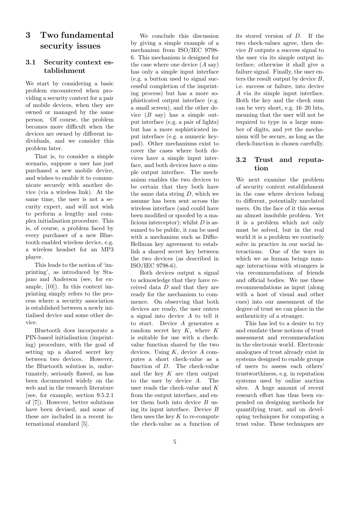# 3 Two fundamental security issues

## 3.1 Security context establishment

We start by considering a basic problem encountered when providing a security context for a pair of mobile devices, when they are owned or managed by the same person. Of course, the problem becomes more difficult when the devices are owned by different individuals, and we consider this problem later.

That is, to consider a simple scenario, suppose a user has just purchased a new mobile device, and wishes to enable it to communicate securely with another device (via a wireless link). At the same time, the user is not a security expert, and will not wish to perform a lengthy and complex initialisation procedure. This is, of course, a problem faced by every purchaser of a new Bluetooth enabled wireless device, e.g. a wireless headset for an MP3 player.

This leads to the notion of 'imprinting', as introduced by Stajano and Anderson (see, for example, [10]). In this context imprinting simply refers to the process where a security association is established between a newly initialised device and some other device.

Bluetooth does incorporate a PIN-based initialisation (imprinting) procedure, with the goal of setting up a shared secret key between two devices. However, the Bluetooth solution is, unfortunately, seriously flawed, as has been documented widely on the web and in the research literature (see, for example, section 9.5.2.1 of [7]). However, better solutions have been devised, and some of these are included in a recent international standard [5].

We conclude this discussion by giving a simple example of a mechanism from ISO/IEC 9798- 6. This mechanism is designed for the case where one device  $(A \text{ say})$ has only a simple input interface (e.g. a button used to signal successful completion of the imprinting process) but has a more sophisticated output interface (e.g. a small screen), and the other device  $(B \text{ say})$  has a simple output interface (e.g. a pair of lights) but has a more sophisticated input interface (e.g. a numeric keypad). Other mechanisms exist to cover the cases where both devices have a simple input interface, and both devices have a simple output interface. The mechanism enables the two devices to be certain that they both have the same data string  $D$ , which we assume has been sent across the wireless interface (and could have been modified or spoofed by a malicious interceptor); whilst  $D$  is assumed to be public, it can be used with a mechanism such as Diffie-Hellman key agreement to establish a shared secret key between the two devices (as described in ISO/IEC 9798-6).

Both devices output a signal to acknowledge that they have received data D and that they are ready for the mechanism to commence. On observing that both devices are ready, the user enters a signal into device A to tell it to start. Device A generates a random secret key  $K$ , where  $K$ is suitable for use with a checkvalue function shared by the two devices. Using  $K$ , device  $A$  computes a short check-value as a function of D. The check-value and the key  $K$  are then output to the user by device A. The user reads the check-value and K from the output interface, and enter them both into device  $B$  using its input interface. Device B then uses the key  $K$  to re-compute the check-value as a function of its stored version of D. If the two check-values agree, then device B outputs a success signal to the user via its simple output interface; otherwise it shall give a failure signal. Finally, the user enters the result output by device  $B$ , i.e. success or failure, into device A via its simple input interface. Both the key and the check sum can be very short, e.g. 16–20 bits, meaning that the user will not be required to type in a large number of digits, and yet the mechanism will be secure, as long as the check-function is chosen carefully.

### 3.2 Trust and reputation

We next examine the problem of security context establishment in the case where devices belong to different, potentially unrelated users. On the face of it this seems an almost insoluble problem. Yet it is a problem which not only must be solved, but in the real world it is a problem we routinely solve in practice in our social interactions. One of the ways in which we as human beings manage interactions with strangers is via recommendations of friends and official bodies. We use these recommendations as input (along with a host of visual and other cues) into our assessment of the degree of trust we can place in the authenticity of a stranger.

This has led to a desire to try and emulate these notions of trust assessment and recommendation in the electronic world. Electronic analogues of trust already exist in systems designed to enable groups of users to assess each others' trustworthiness, e.g. in reputation systems used by online auction sites. A huge amount of recent research effort has thus been expended on designing methods for quantifying trust, and on developing techniques for computing a trust value. These techniques are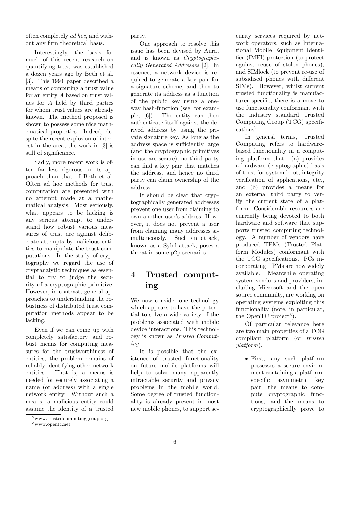often completely ad hoc, and without any firm theoretical basis.

Interestingly, the basis for much of this recent research on quantifying trust was established a dozen years ago by Beth et al. [3]. This 1994 paper described a means of computing a trust value for an entity A based on trust values for A held by third parties for whom trust values are already known. The method proposed is shown to possess some nice mathematical properties. Indeed, despite the recent explosion of interest in the area, the work in [3] is still of significance.

Sadly, more recent work is often far less rigorous in its approach than that of Beth et al. Often ad hoc methods for trust computation are presented with no attempt made at a mathematical analysis. Most seriously, what appears to be lacking is any serious attempt to understand how robust various measures of trust are against deliberate attempts by malicious entities to manipulate the trust computations. In the study of cryptography we regard the use of cryptanalytic techniques as essential to try to judge the security of a cryptographic primitive. However, in contrast, general approaches to understanding the robustness of distributed trust computation methods appear to be lacking.

Even if we can come up with completely satisfactory and robust means for computing measures for the trustworthiness of entities, the problem remains of reliably identifying other network entities. That is, a means is needed for securely associating a name (or address) with a single network entity. Without such a means, a malicious entity could assume the identity of a trusted party.

One approach to resolve this issue has been devised by Aura, and is known as Cryptographically Generated Addresses [2]. In essence, a network device is required to generate a key pair for a signature scheme, and then to generate its address as a function of the public key using a oneway hash-function (see, for example, [6]). The entity can then authenticate itself against the derived address by using the private signature key. As long as the address space is sufficiently large (and the cryptographic primitives in use are secure), no third party can find a key pair that matches the address, and hence no third party can claim ownership of the address.

It should be clear that cryptographically generated addresses prevent one user from claiming to own another user's address. However, it does not prevent a user from claiming many addresses simultaneously. Such an attack, known as a Sybil attack, poses a threat in some p2p scenarios.

# 4 Trusted computing

We now consider one technology which appears to have the potential to solve a wide variety of the problems associated with mobile device interactions. This technology is known as Trusted Computing.

It is possible that the existence of trusted functionality on future mobile platforms will help to solve many apparently intractable security and privacy problems in the mobile world. Some degree of trusted functionality is already present in most new mobile phones, to support security services required by network operators, such as International Mobile Equipment Identifier (IMEI) protection (to protect against reuse of stolen phones), and SIMlock (to prevent re-use of subsidised phones with different SIMs). However, whilst current trusted functionality is manufacturer specific, there is a move to use functionality conformant with the industry standard Trusted Computing Group (TCG) specifications<sup>2</sup> .

In general terms, Trusted Computing refers to hardwarebased functionality in a computing platform that: (a) provides a hardware (cryptographic) basis of trust for system boot, integrity verification of applications, etc., and (b) provides a means for an external third party to verify the current state of a platform. Considerable resources are currently being devoted to both hardware and software that supports trusted computing technology. A number of vendors have produced TPMs (Trusted Platform Modules) conformant with the TCG specifications. PCs incorporating TPMs are now widely available. Meanwhile operating system vendors and providers, including Microsoft and the open source community, are working on operating systems exploiting this functionality (note, in particular, the OpenTC project<sup>3</sup>).

Of particular relevance here are two main properties of a TCG compliant platform (or trusted platform).

• First, any such platform possesses a secure environment containing a platformspecific asymmetric key pair, the means to compute cryptographic functions, and the means to cryptographically prove to

<sup>2</sup>www.trustedcomputinggroup.org

 $^3\!$  www.opentc.net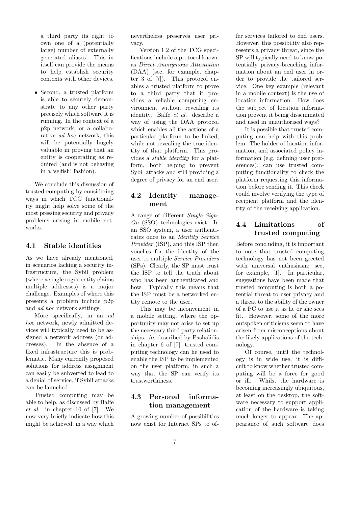a third party its right to own one of a (potentially large) number of externally generated aliases. This in itself can provide the means to help establish security contexts with other devices.

• Second, a trusted platform is able to securely demonstrate to any other party precisely which software it is running. In the context of a p2p network, or a collaborative ad hoc network, this will be potentially hugely valuable in proving that an entity is cooperating as required (and is not behaving in a 'selfish' fashion).

We conclude this discussion of trusted computing by considering ways in which TCG functionality might help solve some of the most pressing security and privacy problems arising in mobile networks.

#### 4.1 Stable identities

As we have already mentioned, in scenarios lacking a security infrastructure, the Sybil problem (where a single rogue entity claims multiple addresses) is a major challenge. Examples of where this presents a problem include p2p and ad hoc network settings.

More specifically, in an ad hoc network, newly admitted devices will typically need to be assigned a network address (or addresses). In the absence of a fixed infrastructure this is problematic. Many currently proposed solutions for address assignment can easily be subverted to lead to a denial of service, if Sybil attacks can be launched.

Trusted computing may be able to help, as discussed by Balfe et al. in chapter 10 of [7]. We now very briefly indicate how this might be achieved, in a way which

nevertheless preserves user privacy.

Version 1.2 of the TCG specifications include a protocol known as Direct Anonymous Attestation (DAA) (see, for example, chapter 3 of [7]). This protocol enables a trusted platform to prove to a third party that it provides a reliable computing environment without revealing its identity. Balfe et al. describe a way of using the DAA protocol which enables all the actions of a particular platform to be linked, while not revealing the true identity of that platform. This provides a stable identity for a platform, both helping to prevent Sybil attacks and still providing a degree of privacy for an end user.

#### 4.2 Identity management

A range of different Single Sign-On (SSO) technologies exist. In an SSO system, a user authenticates once to an Identity Service Provider (ISP), and this ISP then vouches for the identity of the user to multiple Service Providers (SPs). Clearly, the SP must trust the ISP to tell the truth about who has been authenticated and how. Typically this means that the ISP must be a networked entity remote to the user.

This may be inconvenient in a mobile setting, where the opportunity may not arise to set up the necessary third party relationships. As described by Pashalidis in chapter 6 of [7], trusted computing technology can he used to enable the ISP to be implemented on the user platform, in such a way that the SP can verify its trustworthiness.

## 4.3 Personal information management

A growing number of possibilities now exist for Internet SPs to offer services tailored to end users. However, this possibility also represents a privacy threat, since the SP will typically need to know potentially privacy-breaching information about an end user in order to provide the tailored service. One key example (relevant in a mobile context) is the use of location information. How does the subject of location information prevent it being disseminated and used in unauthorised ways?

It is possible that trusted computing can help with this problem. The holder of location information, and associated policy information (e.g. defining user preferences), can use trusted computing functionality to check the platform requesting this information before sending it. This check could involve verifying the type of recipient platform and the identity of the receiving application.

## 4.4 Limitations of trusted computing

Before concluding, it is important to note that trusted computing technology has not been greeted with universal enthusiasm; see, for example, [1]. In particular, suggestions have been made that trusted computing is both a potential threat to user privacy and a threat to the ability of the owner of a PC to use it as he or she sees fit. However, some of the more outspoken criticisms seem to have arisen from misconceptions about the likely applications of the technology.

Of course, until the technology is in wide use, it is difficult to know whether trusted computing will be a force for good or ill. Whilst the hardware is becoming increasingly ubiquitous, at least on the desktop, the software necessary to support application of the hardware is taking much longer to appear. The appearance of such software does